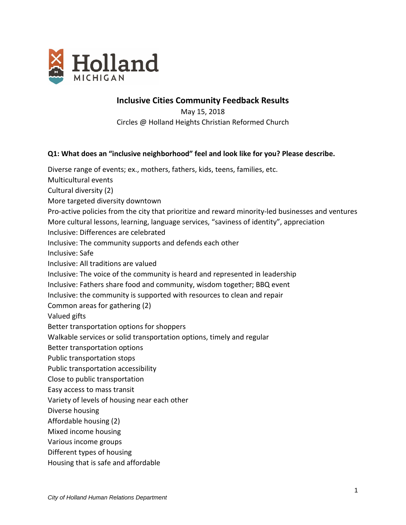

# **Inclusive Cities Community Feedback Results**

May 15, 2018 Circles @ Holland Heights Christian Reformed Church

## **Q1: What does an "inclusive neighborhood" feel and look like for you? Please describe.**

Diverse range of events; ex., mothers, fathers, kids, teens, families, etc. Multicultural events Cultural diversity (2) More targeted diversity downtown Pro-active policies from the city that prioritize and reward minority-led businesses and ventures More cultural lessons, learning, language services, "saviness of identity", appreciation Inclusive: Differences are celebrated Inclusive: The community supports and defends each other Inclusive: Safe Inclusive: All traditions are valued Inclusive: The voice of the community is heard and represented in leadership Inclusive: Fathers share food and community, wisdom together; BBQ event Inclusive: the community is supported with resources to clean and repair Common areas for gathering (2) Valued gifts Better transportation options for shoppers Walkable services or solid transportation options, timely and regular Better transportation options Public transportation stops Public transportation accessibility Close to public transportation Easy access to mass transit Variety of levels of housing near each other Diverse housing Affordable housing (2) Mixed income housing Various income groups Different types of housing Housing that is safe and affordable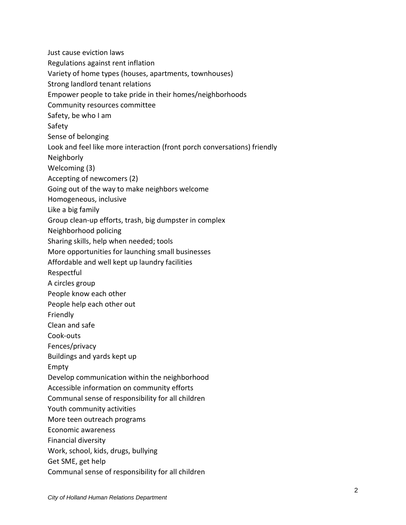Just cause eviction laws Regulations against rent inflation Variety of home types (houses, apartments, townhouses) Strong landlord tenant relations Empower people to take pride in their homes/neighborhoods Community resources committee Safety, be who I am Safety Sense of belonging Look and feel like more interaction (front porch conversations) friendly Neighborly Welcoming (3) Accepting of newcomers (2) Going out of the way to make neighbors welcome Homogeneous, inclusive Like a big family Group clean-up efforts, trash, big dumpster in complex Neighborhood policing Sharing skills, help when needed; tools More opportunities for launching small businesses Affordable and well kept up laundry facilities Respectful A circles group People know each other People help each other out Friendly Clean and safe Cook-outs Fences/privacy Buildings and yards kept up Empty Develop communication within the neighborhood Accessible information on community efforts Communal sense of responsibility for all children Youth community activities More teen outreach programs Economic awareness Financial diversity Work, school, kids, drugs, bullying Get SME, get help Communal sense of responsibility for all children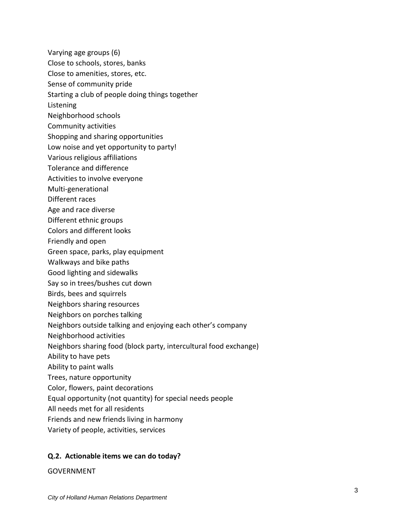- Varying age groups (6)
- Close to schools, stores, banks
- Close to amenities, stores, etc.
- Sense of community pride
- Starting a club of people doing things together
- Listening
- Neighborhood schools
- Community activities
- Shopping and sharing opportunities
- Low noise and yet opportunity to party!
- Various religious affiliations
- Tolerance and difference
- Activities to involve everyone
- Multi-generational
- Different races
- Age and race diverse
- Different ethnic groups
- Colors and different looks
- Friendly and open
- Green space, parks, play equipment
- Walkways and bike paths
- Good lighting and sidewalks
- Say so in trees/bushes cut down
- Birds, bees and squirrels
- Neighbors sharing resources
- Neighbors on porches talking
- Neighbors outside talking and enjoying each other's company
- Neighborhood activities
- Neighbors sharing food (block party, intercultural food exchange)
- Ability to have pets
- Ability to paint walls
- Trees, nature opportunity
- Color, flowers, paint decorations
- Equal opportunity (not quantity) for special needs people
- All needs met for all residents
- Friends and new friends living in harmony
- Variety of people, activities, services

## **Q.2. Actionable items we can do today?**

#### GOVERNMENT